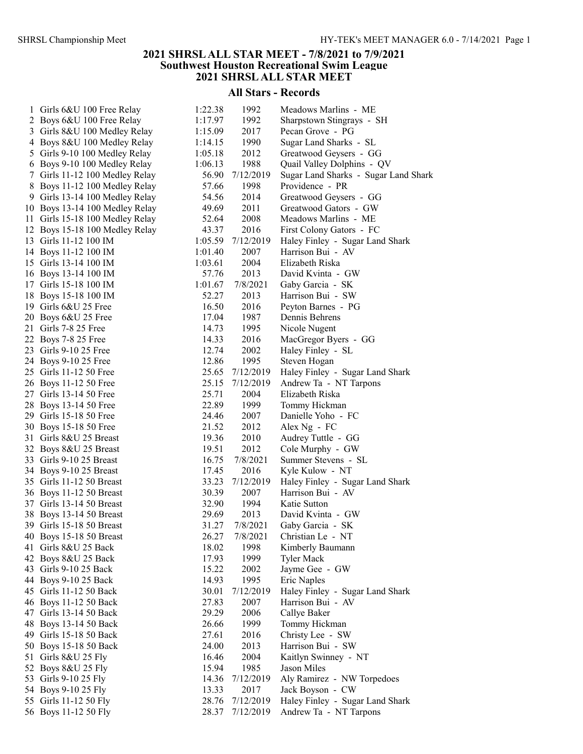## 2021 SHRSL ALL STAR MEET - 7/8/2021 to 7/9/2021 Southwest Houston Recreational Swim League 2021 SHRSL ALL STAR MEET

## All Stars - Records

| $\mathbf{1}$   | Girls 6&U 100 Free Relay     |
|----------------|------------------------------|
| $\overline{c}$ | Boys 6&U 100 Free Relay      |
| 3              | Girls 8&U 100 Medley Relay   |
| 4              | Boys 8&U 100 Medley Relay    |
| 5              | Girls 9-10 100 Medley Relay  |
| 6              | Boys 9-10 100 Medley Relay   |
| 7              | Girls 11-12 100 Medley Relay |
| 8              | Boys 11-12 100 Medley Relay  |
| 9              | Girls 13-14 100 Medley Relay |
| 10             | Boys 13-14 100 Medley Relay  |
| 11             | Girls 15-18 100 Medley Relay |
| 12             | Boys 15-18 100 Medley Relay  |
| 13             | Girls 11-12 100 IM           |
| 14             | Boys 11-12 100 IM            |
| 15             | Girls 13-14 100 IM           |
| 16             | Boys 13-14 100 IM            |
| 17             | Girls 15-18 100 IM           |
| 18             | Boys 15-18 100 IM            |
| 19             | Girls 6&U 25 Free            |
| 20             | Boys 6&U 25 Free             |
| 21             | Girls 7-8 25 Free            |
| 22             | <b>Boys 7-8 25 Free</b>      |
| 23             | Girls 9-10 25 Free           |
| 24             | Boys 9-10 25 Free            |
| 25             | Girls 11-12 50 Free          |
| 26             | Boys 11-12 50 Free           |
| 27             | Girls 13-14 50 Free          |
| 28             | Boys 13-14 50 Free           |
| 29             | Girls 15-18 50 Free          |
| 30             | Boys 15-18 50 Free           |
| 31             | Girls 8&U 25 Breast          |
| 32             | Boys 8&U 25 Breast           |
| 33             | Girls 9-10 25 Breast         |
| 34             | Boys 9-10 25 Breast          |
| 35             | Girls 11-12 50 Breast        |
| 36             | Boys 11-12 50 Breast         |
| 37             | Girls 13-14 50 Breast        |
| 38             | <b>Boys 13-14 50 Breast</b>  |
| 39             | Girls 15-18 50 Breast        |
| 40             | <b>Boys 15-18 50 Breast</b>  |
| 41             | Girls 8&U 25 Back            |
| 42             | Boys 8&U 25 Back             |
| 43             | Girls 9-10 25 Back           |
| 44             | Boys 9-10 25 Back            |
| 45             | Girls 11-12 50 Back          |
| 46             | Boys 11-12 50 Back           |
| 47             | Girls 13-14 50 Back          |
| 48             | Boys 13-14 50 Back           |
| 49             | Girls 15-18 50 Back          |
| 50             | Boys 15-18 50 Back           |
| 51             | Girls 8&U 25 Fly             |
| 52             | Boys 8&U 25 Fly              |
| 53             | Girls 9-10 25 Fly            |
| 54             | Boys 9-10 25 Fly             |
| 55             | Girls 11-12 50 Fly           |
|                | 56 Boys 11-12.50 Fly         |

| 1 Girls 6&U 100 Free Relay      | 1:22.38 | 1992      | Meadows Marlins - ME                 |
|---------------------------------|---------|-----------|--------------------------------------|
| 2 Boys 6&U 100 Free Relay       | 1:17.97 | 1992      | Sharpstown Stingrays - SH            |
| 3 Girls 8&U 100 Medley Relay    | 1:15.09 | 2017      | Pecan Grove - PG                     |
| 4 Boys 8&U 100 Medley Relay     | 1:14.15 | 1990      | Sugar Land Sharks - SL               |
| 5 Girls 9-10 100 Medley Relay   | 1:05.18 | 2012      | Greatwood Geysers - GG               |
| 6 Boys 9-10 100 Medley Relay    | 1:06.13 | 1988      | Quail Valley Dolphins - QV           |
| 7 Girls 11-12 100 Medley Relay  | 56.90   | 7/12/2019 | Sugar Land Sharks - Sugar Land Shark |
| 8 Boys 11-12 100 Medley Relay   | 57.66   | 1998      | Providence - PR                      |
| 9 Girls 13-14 100 Medley Relay  | 54.56   | 2014      | Greatwood Geysers - GG               |
| 10 Boys 13-14 100 Medley Relay  | 49.69   | 2011      | Greatwood Gators - GW                |
| 11 Girls 15-18 100 Medley Relay | 52.64   | 2008      | Meadows Marlins - ME                 |
| 12 Boys 15-18 100 Medley Relay  | 43.37   | 2016      | First Colony Gators - FC             |
| 13 Girls 11-12 100 IM           | 1:05.59 | 7/12/2019 | Haley Finley - Sugar Land Shark      |
| 14 Boys 11-12 100 IM            | 1:01.40 | 2007      | Harrison Bui - AV                    |
| 15 Girls 13-14 100 IM           | 1:03.61 | 2004      | Elizabeth Riska                      |
| 16 Boys 13-14 100 IM            | 57.76   | 2013      | David Kvinta - GW                    |
| 17 Girls 15-18 100 IM           | 1:01.67 | 7/8/2021  | Gaby Garcia - SK                     |
| 18 Boys 15-18 100 IM            | 52.27   | 2013      | Harrison Bui - SW                    |
| 19 Girls 6&U 25 Free            | 16.50   | 2016      | Peyton Barnes - PG                   |
| 20 Boys 6&U 25 Free             | 17.04   | 1987      | Dennis Behrens                       |
| 21 Girls 7-8 25 Free            | 14.73   | 1995      | Nicole Nugent                        |
| 22 Boys 7-8 25 Free             | 14.33   | 2016      | MacGregor Byers - GG                 |
| 23 Girls 9-10 25 Free           | 12.74   | 2002      | Haley Finley - SL                    |
| 24 Boys 9-10 25 Free            | 12.86   | 1995      | Steven Hogan                         |
| 25 Girls 11-12 50 Free          | 25.65   | 7/12/2019 | Haley Finley - Sugar Land Shark      |
| 26 Boys 11-12 50 Free           | 25.15   | 7/12/2019 | Andrew Ta - NT Tarpons               |
| 27 Girls 13-14 50 Free          | 25.71   | 2004      | Elizabeth Riska                      |
| 28 Boys 13-14 50 Free           | 22.89   | 1999      | Tommy Hickman                        |
| 29 Girls 15-18 50 Free          | 24.46   | 2007      | Danielle Yoho - FC                   |
| 30 Boys 15-18 50 Free           | 21.52   | 2012      | Alex Ng - FC                         |
| 31 Girls 8&U 25 Breast          | 19.36   | 2010      | Audrey Tuttle - GG                   |
| 32 Boys 8&U 25 Breast           | 19.51   | 2012      | Cole Murphy - GW                     |
| 33 Girls 9-10 25 Breast         | 16.75   | 7/8/2021  | Summer Stevens - SL                  |
| 34 Boys 9-10 25 Breast          | 17.45   | 2016      | Kyle Kulow - NT                      |
| 35 Girls 11-12 50 Breast        | 33.23   | 7/12/2019 | Haley Finley - Sugar Land Shark      |
| 36 Boys 11-12 50 Breast         | 30.39   | 2007      | Harrison Bui - AV                    |
| 37 Girls 13-14 50 Breast        | 32.90   | 1994      | Katie Sutton                         |
| 38 Boys 13-14 50 Breast         | 29.69   | 2013      | David Kvinta - GW                    |
| 39 Girls 15-18 50 Breast        | 31.27   | 7/8/2021  | Gaby Garcia - SK                     |
| 40 Boys 15-18 50 Breast         | 26.27   | 7/8/2021  | Christian Le - NT                    |
| 41 Girls 8&U 25 Back            | 18.02   | 1998      | Kimberly Baumann                     |
| 42 Boys 8&U 25 Back             | 17.93   | 1999      | <b>Tyler Mack</b>                    |
| 43 Girls 9-10 25 Back           | 15.22   | 2002      | Jayme Gee - GW                       |
| 44 Boys 9-10 25 Back            | 14.93   | 1995      | Eric Naples                          |
| 45 Girls 11-12 50 Back          | 30.01   | 7/12/2019 | Haley Finley - Sugar Land Shark      |
| 46 Boys 11-12 50 Back           | 27.83   | 2007      | Harrison Bui - AV                    |
| 47 Girls 13-14 50 Back          | 29.29   | 2006      | Callye Baker                         |
| 48 Boys 13-14 50 Back           | 26.66   | 1999      | Tommy Hickman                        |
| 49 Girls 15-18 50 Back          | 27.61   | 2016      | Christy Lee - SW                     |
| 50 Boys 15-18 50 Back           | 24.00   | 2013      | Harrison Bui - SW                    |
| 51 Girls 8&U 25 Fly             | 16.46   | 2004      | Kaitlyn Swinney - NT                 |
| 52 Boys 8&U 25 Fly              | 15.94   | 1985      | Jason Miles                          |
| 53 Girls 9-10 25 Fly            | 14.36   | 7/12/2019 | Aly Ramirez - NW Torpedoes           |
| 54 Boys 9-10 25 Fly             | 13.33   | 2017      | Jack Boyson - CW                     |
| 55 Girls 11-12 50 Fly           | 28.76   | 7/12/2019 | Haley Finley - Sugar Land Shark      |
| 56 Boys 11-12 50 Fly            | 28.37   | 7/12/2019 | Andrew Ta - NT Tarpons               |
|                                 |         |           |                                      |